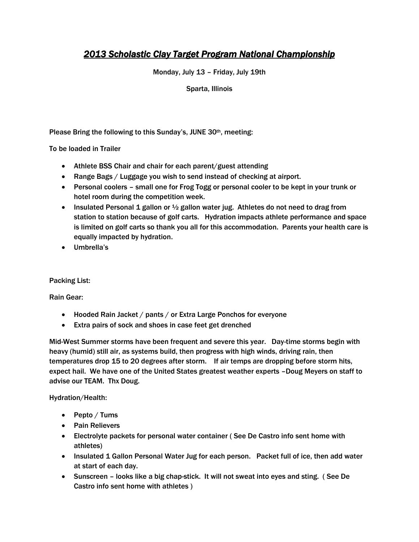# *2013 Scholastic Clay Target Program National Championship*

Monday, July 13 – Friday, July 19th

Sparta, Illinois

Please Bring the following to this Sunday's, JUNE 30th, meeting:

To be loaded in Trailer

- Athlete BSS Chair and chair for each parent/guest attending
- Range Bags / Luggage you wish to send instead of checking at airport.
- Personal coolers small one for Frog Togg or personal cooler to be kept in your trunk or hotel room during the competition week.
- Insulated Personal 1 gallon or  $\frac{1}{2}$  gallon water jug. Athletes do not need to drag from station to station because of golf carts. Hydration impacts athlete performance and space is limited on golf carts so thank you all for this accommodation. Parents your health care is equally impacted by hydration.
- Umbrella's

Packing List:

Rain Gear:

- Hooded Rain Jacket / pants / or Extra Large Ponchos for everyone
- Extra pairs of sock and shoes in case feet get drenched

Mid-West Summer storms have been frequent and severe this year. Day-time storms begin with heavy (humid) still air, as systems build, then progress with high winds, driving rain, then temperatures drop 15 to 20 degrees after storm. If air temps are dropping before storm hits, expect hail. We have one of the United States greatest weather experts –Doug Meyers on staff to advise our TEAM. Thx Doug.

Hydration/Health:

- $\bullet$  Pepto / Tums
- Pain Relievers
- Electrolyte packets for personal water container ( See De Castro info sent home with athletes)
- Insulated 1 Gallon Personal Water Jug for each person. Packet full of ice, then add water at start of each day.
- Sunscreen looks like a big chap-stick. It will not sweat into eyes and sting. ( See De Castro info sent home with athletes )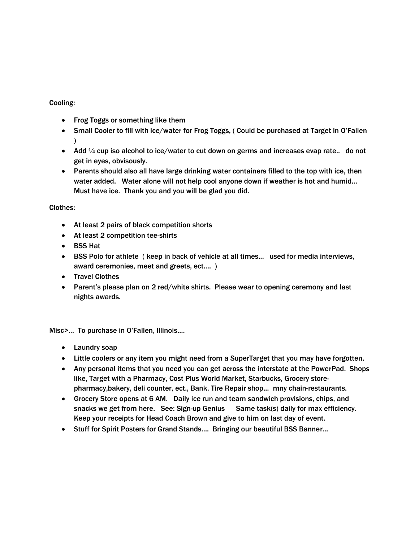#### Cooling:

- Frog Toggs or something like them
- Small Cooler to fill with ice/water for Frog Toggs, ( Could be purchased at Target in O'Fallen )
- Add  $\frac{1}{4}$  cup iso alcohol to ice/water to cut down on germs and increases evap rate.. do not get in eyes, obvisously.
- Parents should also all have large drinking water containers filled to the top with ice, then water added. Water alone will not help cool anyone down if weather is hot and humid… Must have ice. Thank you and you will be glad you did.

### Clothes:

- At least 2 pairs of black competition shorts
- At least 2 competition tee-shirts
- BSS Hat
- BSS Polo for athlete ( keep in back of vehicle at all times… used for media interviews, award ceremonies, meet and greets, ect…. )
- Travel Clothes
- Parent's please plan on 2 red/white shirts. Please wear to opening ceremony and last nights awards.

Misc>… To purchase in O'Fallen, Illinois….

- Laundry soap
- Little coolers or any item you might need from a SuperTarget that you may have forgotten.
- Any personal items that you need you can get across the interstate at the PowerPad. Shops like, Target with a Pharmacy, Cost Plus World Market, Starbucks, Grocery storepharmacy,bakery, deli counter, ect., Bank, Tire Repair shop… mny chain-restaurants.
- Grocery Store opens at 6 AM. Daily ice run and team sandwich provisions, chips, and snacks we get from here. See: Sign-up Genius Same task(s) daily for max efficiency. Keep your receipts for Head Coach Brown and give to him on last day of event.
- Stuff for Spirit Posters for Grand Stands.... Bringing our beautiful BSS Banner...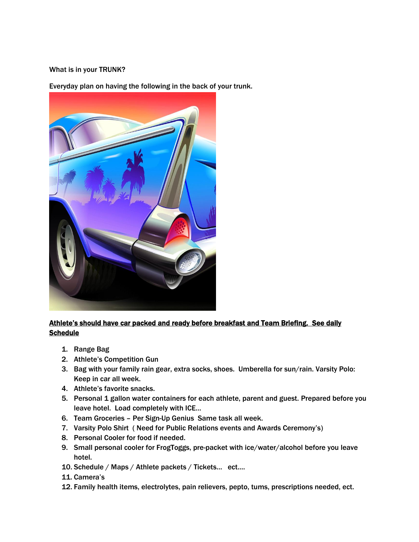#### What is in your TRUNK?

Everyday plan on having the following in the back of your trunk.



# Athlete's should have car packed and ready before breakfast and Team Briefing. See daily **Schedule**

- 1. Range Bag
- 2. Athlete's Competition Gun
- 3. Bag with your family rain gear, extra socks, shoes. Umberella for sun/rain. Varsity Polo: Keep in car all week.
- 4. Athlete's favorite snacks.
- 5. Personal 1 gallon water containers for each athlete, parent and guest. Prepared before you leave hotel. Load completely with ICE…
- 6. Team Groceries Per Sign-Up Genius Same task all week.
- 7. Varsity Polo Shirt ( Need for Public Relations events and Awards Ceremony's)
- 8. Personal Cooler for food if needed.
- 9. Small personal cooler for FrogToggs, pre-packet with ice/water/alcohol before you leave hotel.
- 10. Schedule / Maps / Athlete packets / Tickets… ect….
- 11. Camera's
- 12. Family health items, electrolytes, pain relievers, pepto, tums, prescriptions needed, ect.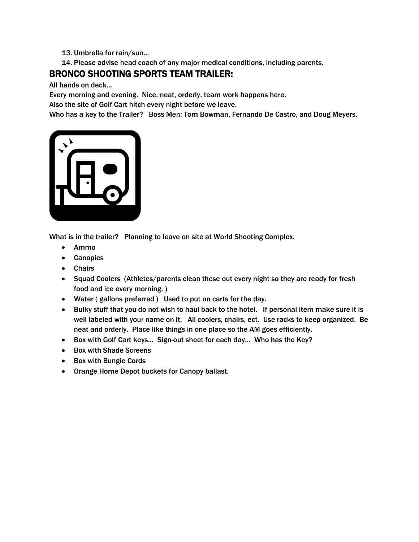## 13. Umbrella for rain/sun…

14. Please advise head coach of any major medical conditions, including parents.

# BRONCO SHOOTING SPORTS TEAM TRAILER:

All hands on deck…

Every morning and evening. Nice, neat, orderly, team work happens here.

Also the site of Golf Cart hitch every night before we leave.

Who has a key to the Trailer? Boss Men: Tom Bowman, Fernando De Castro, and Doug Meyers.



What is in the trailer? Planning to leave on site at World Shooting Complex.

- Ammo
- Canopies
- Chairs
- Squad Coolers (Athletes/parents clean these out every night so they are ready for fresh food and ice every morning. )
- Water ( gallons preferred ) Used to put on carts for the day.
- Bulky stuff that you do not wish to haul back to the hotel. If personal item make sure it is well labeled with your name on it. All coolers, chairs, ect. Use racks to keep organized. Be neat and orderly. Place like things in one place so the AM goes efficiently.
- Box with Golf Cart keys... Sign-out sheet for each day... Who has the Key?
- Box with Shade Screens
- Box with Bungie Cords
- Orange Home Depot buckets for Canopy ballast.